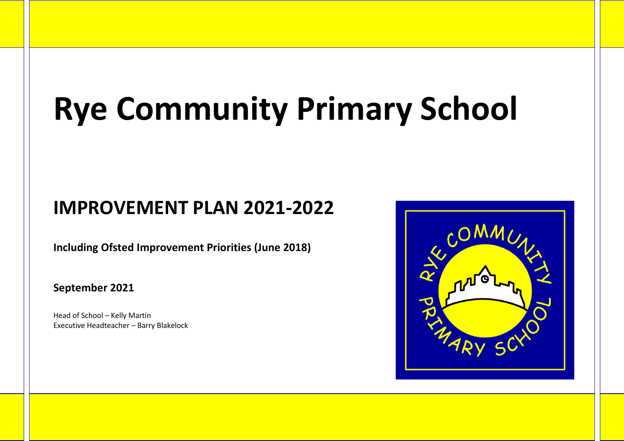## **Rye Community Primary School**

## **IMPROVEMENT PLAN 2021-2022**

**Including Ofsted Improvement Priorities (June 2018)**

**September 2021**

Head of School – Kelly Martin Executive Headteacher – Barry Blakelock

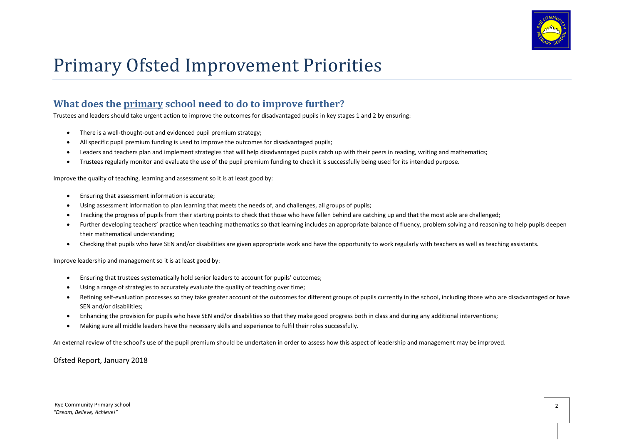

## Primary Ofsted Improvement Priorities

## **What does the primary school need to do to improve further?**

Trustees and leaders should take urgent action to improve the outcomes for disadvantaged pupils in key stages 1 and 2 by ensuring:

- There is a well-thought-out and evidenced pupil premium strategy;
- All specific pupil premium funding is used to improve the outcomes for disadvantaged pupils;
- Leaders and teachers plan and implement strategies that will help disadvantaged pupils catch up with their peers in reading, writing and mathematics;
- Trustees regularly monitor and evaluate the use of the pupil premium funding to check it is successfully being used for its intended purpose.

Improve the quality of teaching, learning and assessment so it is at least good by:

- Ensuring that assessment information is accurate;
- Using assessment information to plan learning that meets the needs of, and challenges, all groups of pupils;
- Tracking the progress of pupils from their starting points to check that those who have fallen behind are catching up and that the most able are challenged;
- Further developing teachers' practice when teaching mathematics so that learning includes an appropriate balance of fluency, problem solving and reasoning to help pupils deepen their mathematical understanding;
- Checking that pupils who have SEN and/or disabilities are given appropriate work and have the opportunity to work regularly with teachers as well as teaching assistants.

Improve leadership and management so it is at least good by:

- Ensuring that trustees systematically hold senior leaders to account for pupils' outcomes;
- Using a range of strategies to accurately evaluate the quality of teaching over time;
- Refining self-evaluation processes so they take greater account of the outcomes for different groups of pupils currently in the school, including those who are disadvantaged or have SEN and/or disabilities;
- Enhancing the provision for pupils who have SEN and/or disabilities so that they make good progress both in class and during any additional interventions;
- Making sure all middle leaders have the necessary skills and experience to fulfil their roles successfully.

An external review of the school's use of the pupil premium should be undertaken in order to assess how this aspect of leadership and management may be improved.

Ofsted Report, January 2018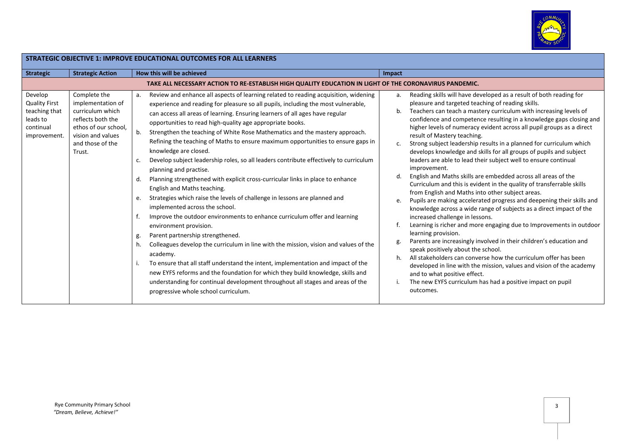

| STRATEGIC OBJECTIVE 1: IMPROVE EDUCATIONAL OUTCOMES FOR ALL LEARNERS                      |                                                                                                                                                       |                                                                                                                                                                                                                                                                                                                                                                                                                                                                                                                                                                                                                                                                                                                                                                                                                                                                                                                                                                                                                                                                                                                                                                                                                                                                                                                                                                                                                                                               |                                                                                                                                                                                                                                                                                                                                                                                                                                                                                                                                                                                                                                                                                                                                                                                                                                                                                                                                                                                                                                                                                                                                                                                                                                                                                                                                                                                                                                                                                                   |  |  |  |  |
|-------------------------------------------------------------------------------------------|-------------------------------------------------------------------------------------------------------------------------------------------------------|---------------------------------------------------------------------------------------------------------------------------------------------------------------------------------------------------------------------------------------------------------------------------------------------------------------------------------------------------------------------------------------------------------------------------------------------------------------------------------------------------------------------------------------------------------------------------------------------------------------------------------------------------------------------------------------------------------------------------------------------------------------------------------------------------------------------------------------------------------------------------------------------------------------------------------------------------------------------------------------------------------------------------------------------------------------------------------------------------------------------------------------------------------------------------------------------------------------------------------------------------------------------------------------------------------------------------------------------------------------------------------------------------------------------------------------------------------------|---------------------------------------------------------------------------------------------------------------------------------------------------------------------------------------------------------------------------------------------------------------------------------------------------------------------------------------------------------------------------------------------------------------------------------------------------------------------------------------------------------------------------------------------------------------------------------------------------------------------------------------------------------------------------------------------------------------------------------------------------------------------------------------------------------------------------------------------------------------------------------------------------------------------------------------------------------------------------------------------------------------------------------------------------------------------------------------------------------------------------------------------------------------------------------------------------------------------------------------------------------------------------------------------------------------------------------------------------------------------------------------------------------------------------------------------------------------------------------------------------|--|--|--|--|
| <b>Strategic</b>                                                                          | <b>Strategic Action</b>                                                                                                                               | How this will be achieved                                                                                                                                                                                                                                                                                                                                                                                                                                                                                                                                                                                                                                                                                                                                                                                                                                                                                                                                                                                                                                                                                                                                                                                                                                                                                                                                                                                                                                     | Impact                                                                                                                                                                                                                                                                                                                                                                                                                                                                                                                                                                                                                                                                                                                                                                                                                                                                                                                                                                                                                                                                                                                                                                                                                                                                                                                                                                                                                                                                                            |  |  |  |  |
|                                                                                           |                                                                                                                                                       | TAKE ALL NECESSARY ACTION TO RE-ESTABLISH HIGH QUALITY EDUCATION IN LIGHT OF THE CORONAVIRUS PANDEMIC.                                                                                                                                                                                                                                                                                                                                                                                                                                                                                                                                                                                                                                                                                                                                                                                                                                                                                                                                                                                                                                                                                                                                                                                                                                                                                                                                                        |                                                                                                                                                                                                                                                                                                                                                                                                                                                                                                                                                                                                                                                                                                                                                                                                                                                                                                                                                                                                                                                                                                                                                                                                                                                                                                                                                                                                                                                                                                   |  |  |  |  |
| Develop<br><b>Quality First</b><br>teaching that<br>leads to<br>continual<br>improvement. | Complete the<br>implementation of<br>curriculum which<br>reflects both the<br>ethos of our school,<br>vision and values<br>and those of the<br>Trust. | Review and enhance all aspects of learning related to reading acquisition, widening<br>а.<br>experience and reading for pleasure so all pupils, including the most vulnerable,<br>can access all areas of learning. Ensuring learners of all ages have regular<br>opportunities to read high-quality age appropriate books.<br>b.<br>Strengthen the teaching of White Rose Mathematics and the mastery approach.<br>Refining the teaching of Maths to ensure maximum opportunities to ensure gaps in<br>knowledge are closed.<br>Develop subject leadership roles, so all leaders contribute effectively to curriculum<br>c.<br>planning and practise.<br>Planning strengthened with explicit cross-curricular links in place to enhance<br>d.<br>English and Maths teaching.<br>Strategies which raise the levels of challenge in lessons are planned and<br>e.<br>implemented across the school.<br>Improve the outdoor environments to enhance curriculum offer and learning<br>environment provision.<br>Parent partnership strengthened.<br>g.<br>Colleagues develop the curriculum in line with the mission, vision and values of the<br>h.<br>academy.<br>To ensure that all staff understand the intent, implementation and impact of the<br>new EYFS reforms and the foundation for which they build knowledge, skills and<br>understanding for continual development throughout all stages and areas of the<br>progressive whole school curriculum. | Reading skills will have developed as a result of both reading for<br>a.<br>pleasure and targeted teaching of reading skills.<br>Teachers can teach a mastery curriculum with increasing levels of<br>b.<br>confidence and competence resulting in a knowledge gaps closing and<br>higher levels of numeracy evident across all pupil groups as a direct<br>result of Mastery teaching.<br>Strong subject leadership results in a planned for curriculum which<br>c.<br>develops knowledge and skills for all groups of pupils and subject<br>leaders are able to lead their subject well to ensure continual<br>improvement.<br>English and Maths skills are embedded across all areas of the<br>d.<br>Curriculum and this is evident in the quality of transferrable skills<br>from English and Maths into other subject areas.<br>Pupils are making accelerated progress and deepening their skills and<br>e.<br>knowledge across a wide range of subjects as a direct impact of the<br>increased challenge in lessons.<br>Learning is richer and more engaging due to Improvements in outdoor<br>learning provision.<br>Parents are increasingly involved in their children's education and<br>speak positively about the school.<br>All stakeholders can converse how the curriculum offer has been<br>h.<br>developed in line with the mission, values and vision of the academy<br>and to what positive effect.<br>The new EYFS curriculum has had a positive impact on pupil<br>outcomes. |  |  |  |  |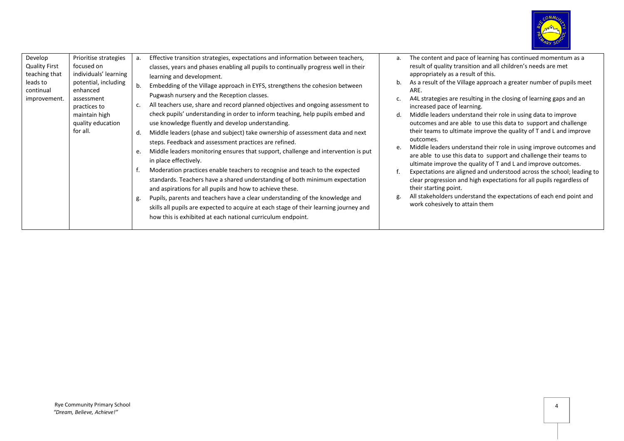

| Develop<br><b>Quality First</b><br>teaching that<br>leads to<br>continual<br>improvement. | Prioritise strategies<br>focused on<br>individuals' learning<br>potential, including<br>enhanced<br>assessment<br>practices to<br>maintain high<br>quality education<br>for all. | а.<br>b.<br>c.<br>d.<br>e.<br>g. | Effective transition strategies, expectations and information between teachers,<br>classes, years and phases enabling all pupils to continually progress well in their<br>learning and development.<br>Embedding of the Village approach in EYFS, strengthens the cohesion between<br>Pugwash nursery and the Reception classes.<br>All teachers use, share and record planned objectives and ongoing assessment to<br>check pupils' understanding in order to inform teaching, help pupils embed and<br>use knowledge fluently and develop understanding.<br>Middle leaders (phase and subject) take ownership of assessment data and next<br>steps. Feedback and assessment practices are refined.<br>Middle leaders monitoring ensures that support, challenge and intervention is put<br>in place effectively.<br>Moderation practices enable teachers to recognise and teach to the expected<br>standards. Teachers have a shared understanding of both minimum expectation<br>and aspirations for all pupils and how to achieve these.<br>Pupils, parents and teachers have a clear understanding of the knowledge and<br>skills all pupils are expected to acquire at each stage of their learning journey and<br>how this is exhibited at each national curriculum endpoint. | а.<br>b.<br>d.<br>e.<br>g. | The content and pace of learning has continued momentum as a<br>result of quality transition and all children's needs are met<br>appropriately as a result of this.<br>As a result of the Village approach a greater number of pupils meet<br>ARE.<br>A4L strategies are resulting in the closing of learning gaps and an<br>increased pace of learning.<br>Middle leaders understand their role in using data to improve<br>outcomes and are able to use this data to support and challenge<br>their teams to ultimate improve the quality of T and L and improve<br>outcomes.<br>Middle leaders understand their role in using improve outcomes and<br>are able to use this data to support and challenge their teams to<br>ultimate improve the quality of T and L and improve outcomes.<br>Expectations are aligned and understood across the school; leading to<br>clear progression and high expectations for all pupils regardless of<br>their starting point.<br>All stakeholders understand the expectations of each end point and<br>work cohesively to attain them |
|-------------------------------------------------------------------------------------------|----------------------------------------------------------------------------------------------------------------------------------------------------------------------------------|----------------------------------|--------------------------------------------------------------------------------------------------------------------------------------------------------------------------------------------------------------------------------------------------------------------------------------------------------------------------------------------------------------------------------------------------------------------------------------------------------------------------------------------------------------------------------------------------------------------------------------------------------------------------------------------------------------------------------------------------------------------------------------------------------------------------------------------------------------------------------------------------------------------------------------------------------------------------------------------------------------------------------------------------------------------------------------------------------------------------------------------------------------------------------------------------------------------------------------------------------------------------------------------------------------------------------------|----------------------------|-------------------------------------------------------------------------------------------------------------------------------------------------------------------------------------------------------------------------------------------------------------------------------------------------------------------------------------------------------------------------------------------------------------------------------------------------------------------------------------------------------------------------------------------------------------------------------------------------------------------------------------------------------------------------------------------------------------------------------------------------------------------------------------------------------------------------------------------------------------------------------------------------------------------------------------------------------------------------------------------------------------------------------------------------------------------------------|
|-------------------------------------------------------------------------------------------|----------------------------------------------------------------------------------------------------------------------------------------------------------------------------------|----------------------------------|--------------------------------------------------------------------------------------------------------------------------------------------------------------------------------------------------------------------------------------------------------------------------------------------------------------------------------------------------------------------------------------------------------------------------------------------------------------------------------------------------------------------------------------------------------------------------------------------------------------------------------------------------------------------------------------------------------------------------------------------------------------------------------------------------------------------------------------------------------------------------------------------------------------------------------------------------------------------------------------------------------------------------------------------------------------------------------------------------------------------------------------------------------------------------------------------------------------------------------------------------------------------------------------|----------------------------|-------------------------------------------------------------------------------------------------------------------------------------------------------------------------------------------------------------------------------------------------------------------------------------------------------------------------------------------------------------------------------------------------------------------------------------------------------------------------------------------------------------------------------------------------------------------------------------------------------------------------------------------------------------------------------------------------------------------------------------------------------------------------------------------------------------------------------------------------------------------------------------------------------------------------------------------------------------------------------------------------------------------------------------------------------------------------------|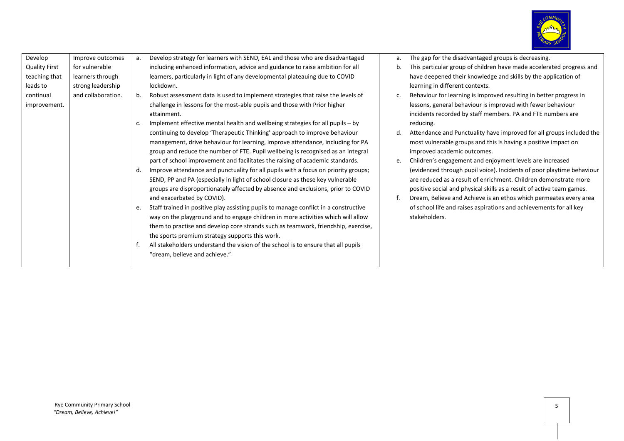

| Develop<br>Develop strategy for learners with SEND, EAL and those who are disadvantaged<br>Improve outcomes<br>The gap for the disadvantaged groups is decreasing.<br>а.<br>a.<br>including enhanced information, advice and guidance to raise ambition for all<br><b>Quality First</b><br>for vulnerable<br>This particular group of children have made accelerated progress and<br>b.<br>teaching that<br>learners, particularly in light of any developmental plateauing due to COVID<br>have deepened their knowledge and skills by the application of<br>learners through<br>leads to<br>strong leadership<br>lockdown.<br>learning in different contexts.<br>and collaboration.<br>Robust assessment data is used to implement strategies that raise the levels of<br>continual<br>Behaviour for learning is improved resulting in better progress in<br>b.<br>C.<br>challenge in lessons for the most-able pupils and those with Prior higher<br>lessons, general behaviour is improved with fewer behaviour<br>improvement.<br>incidents recorded by staff members. PA and FTE numbers are<br>attainment.<br>Implement effective mental health and wellbeing strategies for all pupils - by<br>reducing.<br>c.<br>Attendance and Punctuality have improved for all groups included the<br>continuing to develop 'Therapeutic Thinking' approach to improve behaviour<br>d.<br>management, drive behaviour for learning, improve attendance, including for PA<br>most vulnerable groups and this is having a positive impact on<br>group and reduce the number of FTE. Pupil wellbeing is recognised as an integral<br>improved academic outcomes.<br>part of school improvement and facilitates the raising of academic standards.<br>Children's engagement and enjoyment levels are increased<br>e.<br>Improve attendance and punctuality for all pupils with a focus on priority groups;<br>(evidenced through pupil voice). Incidents of poor playtime behaviour<br>d.<br>SEND, PP and PA (especially in light of school closure as these key vulnerable<br>are reduced as a result of enrichment. Children demonstrate more<br>groups are disproportionately affected by absence and exclusions, prior to COVID<br>positive social and physical skills as a result of active team games.<br>and exacerbated by COVID).<br>Dream, Believe and Achieve is an ethos which permeates every area<br>Staff trained in positive play assisting pupils to manage conflict in a constructive<br>of school life and raises aspirations and achievements for all key<br>e.<br>way on the playground and to engage children in more activities which will allow<br>stakeholders.<br>them to practise and develop core strands such as teamwork, friendship, exercise,<br>the sports premium strategy supports this work.<br>All stakeholders understand the vision of the school is to ensure that all pupils<br>"dream, believe and achieve." |  |  |  |
|------------------------------------------------------------------------------------------------------------------------------------------------------------------------------------------------------------------------------------------------------------------------------------------------------------------------------------------------------------------------------------------------------------------------------------------------------------------------------------------------------------------------------------------------------------------------------------------------------------------------------------------------------------------------------------------------------------------------------------------------------------------------------------------------------------------------------------------------------------------------------------------------------------------------------------------------------------------------------------------------------------------------------------------------------------------------------------------------------------------------------------------------------------------------------------------------------------------------------------------------------------------------------------------------------------------------------------------------------------------------------------------------------------------------------------------------------------------------------------------------------------------------------------------------------------------------------------------------------------------------------------------------------------------------------------------------------------------------------------------------------------------------------------------------------------------------------------------------------------------------------------------------------------------------------------------------------------------------------------------------------------------------------------------------------------------------------------------------------------------------------------------------------------------------------------------------------------------------------------------------------------------------------------------------------------------------------------------------------------------------------------------------------------------------------------------------------------------------------------------------------------------------------------------------------------------------------------------------------------------------------------------------------------------------------------------------------------------------------------------------------------------------------------------------------------------------------------------------------------------------------------------------------------------------------------------------|--|--|--|
|                                                                                                                                                                                                                                                                                                                                                                                                                                                                                                                                                                                                                                                                                                                                                                                                                                                                                                                                                                                                                                                                                                                                                                                                                                                                                                                                                                                                                                                                                                                                                                                                                                                                                                                                                                                                                                                                                                                                                                                                                                                                                                                                                                                                                                                                                                                                                                                                                                                                                                                                                                                                                                                                                                                                                                                                                                                                                                                                                |  |  |  |
|                                                                                                                                                                                                                                                                                                                                                                                                                                                                                                                                                                                                                                                                                                                                                                                                                                                                                                                                                                                                                                                                                                                                                                                                                                                                                                                                                                                                                                                                                                                                                                                                                                                                                                                                                                                                                                                                                                                                                                                                                                                                                                                                                                                                                                                                                                                                                                                                                                                                                                                                                                                                                                                                                                                                                                                                                                                                                                                                                |  |  |  |
|                                                                                                                                                                                                                                                                                                                                                                                                                                                                                                                                                                                                                                                                                                                                                                                                                                                                                                                                                                                                                                                                                                                                                                                                                                                                                                                                                                                                                                                                                                                                                                                                                                                                                                                                                                                                                                                                                                                                                                                                                                                                                                                                                                                                                                                                                                                                                                                                                                                                                                                                                                                                                                                                                                                                                                                                                                                                                                                                                |  |  |  |
|                                                                                                                                                                                                                                                                                                                                                                                                                                                                                                                                                                                                                                                                                                                                                                                                                                                                                                                                                                                                                                                                                                                                                                                                                                                                                                                                                                                                                                                                                                                                                                                                                                                                                                                                                                                                                                                                                                                                                                                                                                                                                                                                                                                                                                                                                                                                                                                                                                                                                                                                                                                                                                                                                                                                                                                                                                                                                                                                                |  |  |  |
|                                                                                                                                                                                                                                                                                                                                                                                                                                                                                                                                                                                                                                                                                                                                                                                                                                                                                                                                                                                                                                                                                                                                                                                                                                                                                                                                                                                                                                                                                                                                                                                                                                                                                                                                                                                                                                                                                                                                                                                                                                                                                                                                                                                                                                                                                                                                                                                                                                                                                                                                                                                                                                                                                                                                                                                                                                                                                                                                                |  |  |  |
|                                                                                                                                                                                                                                                                                                                                                                                                                                                                                                                                                                                                                                                                                                                                                                                                                                                                                                                                                                                                                                                                                                                                                                                                                                                                                                                                                                                                                                                                                                                                                                                                                                                                                                                                                                                                                                                                                                                                                                                                                                                                                                                                                                                                                                                                                                                                                                                                                                                                                                                                                                                                                                                                                                                                                                                                                                                                                                                                                |  |  |  |
|                                                                                                                                                                                                                                                                                                                                                                                                                                                                                                                                                                                                                                                                                                                                                                                                                                                                                                                                                                                                                                                                                                                                                                                                                                                                                                                                                                                                                                                                                                                                                                                                                                                                                                                                                                                                                                                                                                                                                                                                                                                                                                                                                                                                                                                                                                                                                                                                                                                                                                                                                                                                                                                                                                                                                                                                                                                                                                                                                |  |  |  |
|                                                                                                                                                                                                                                                                                                                                                                                                                                                                                                                                                                                                                                                                                                                                                                                                                                                                                                                                                                                                                                                                                                                                                                                                                                                                                                                                                                                                                                                                                                                                                                                                                                                                                                                                                                                                                                                                                                                                                                                                                                                                                                                                                                                                                                                                                                                                                                                                                                                                                                                                                                                                                                                                                                                                                                                                                                                                                                                                                |  |  |  |
|                                                                                                                                                                                                                                                                                                                                                                                                                                                                                                                                                                                                                                                                                                                                                                                                                                                                                                                                                                                                                                                                                                                                                                                                                                                                                                                                                                                                                                                                                                                                                                                                                                                                                                                                                                                                                                                                                                                                                                                                                                                                                                                                                                                                                                                                                                                                                                                                                                                                                                                                                                                                                                                                                                                                                                                                                                                                                                                                                |  |  |  |
|                                                                                                                                                                                                                                                                                                                                                                                                                                                                                                                                                                                                                                                                                                                                                                                                                                                                                                                                                                                                                                                                                                                                                                                                                                                                                                                                                                                                                                                                                                                                                                                                                                                                                                                                                                                                                                                                                                                                                                                                                                                                                                                                                                                                                                                                                                                                                                                                                                                                                                                                                                                                                                                                                                                                                                                                                                                                                                                                                |  |  |  |
|                                                                                                                                                                                                                                                                                                                                                                                                                                                                                                                                                                                                                                                                                                                                                                                                                                                                                                                                                                                                                                                                                                                                                                                                                                                                                                                                                                                                                                                                                                                                                                                                                                                                                                                                                                                                                                                                                                                                                                                                                                                                                                                                                                                                                                                                                                                                                                                                                                                                                                                                                                                                                                                                                                                                                                                                                                                                                                                                                |  |  |  |
|                                                                                                                                                                                                                                                                                                                                                                                                                                                                                                                                                                                                                                                                                                                                                                                                                                                                                                                                                                                                                                                                                                                                                                                                                                                                                                                                                                                                                                                                                                                                                                                                                                                                                                                                                                                                                                                                                                                                                                                                                                                                                                                                                                                                                                                                                                                                                                                                                                                                                                                                                                                                                                                                                                                                                                                                                                                                                                                                                |  |  |  |
|                                                                                                                                                                                                                                                                                                                                                                                                                                                                                                                                                                                                                                                                                                                                                                                                                                                                                                                                                                                                                                                                                                                                                                                                                                                                                                                                                                                                                                                                                                                                                                                                                                                                                                                                                                                                                                                                                                                                                                                                                                                                                                                                                                                                                                                                                                                                                                                                                                                                                                                                                                                                                                                                                                                                                                                                                                                                                                                                                |  |  |  |
|                                                                                                                                                                                                                                                                                                                                                                                                                                                                                                                                                                                                                                                                                                                                                                                                                                                                                                                                                                                                                                                                                                                                                                                                                                                                                                                                                                                                                                                                                                                                                                                                                                                                                                                                                                                                                                                                                                                                                                                                                                                                                                                                                                                                                                                                                                                                                                                                                                                                                                                                                                                                                                                                                                                                                                                                                                                                                                                                                |  |  |  |
|                                                                                                                                                                                                                                                                                                                                                                                                                                                                                                                                                                                                                                                                                                                                                                                                                                                                                                                                                                                                                                                                                                                                                                                                                                                                                                                                                                                                                                                                                                                                                                                                                                                                                                                                                                                                                                                                                                                                                                                                                                                                                                                                                                                                                                                                                                                                                                                                                                                                                                                                                                                                                                                                                                                                                                                                                                                                                                                                                |  |  |  |
|                                                                                                                                                                                                                                                                                                                                                                                                                                                                                                                                                                                                                                                                                                                                                                                                                                                                                                                                                                                                                                                                                                                                                                                                                                                                                                                                                                                                                                                                                                                                                                                                                                                                                                                                                                                                                                                                                                                                                                                                                                                                                                                                                                                                                                                                                                                                                                                                                                                                                                                                                                                                                                                                                                                                                                                                                                                                                                                                                |  |  |  |
|                                                                                                                                                                                                                                                                                                                                                                                                                                                                                                                                                                                                                                                                                                                                                                                                                                                                                                                                                                                                                                                                                                                                                                                                                                                                                                                                                                                                                                                                                                                                                                                                                                                                                                                                                                                                                                                                                                                                                                                                                                                                                                                                                                                                                                                                                                                                                                                                                                                                                                                                                                                                                                                                                                                                                                                                                                                                                                                                                |  |  |  |
|                                                                                                                                                                                                                                                                                                                                                                                                                                                                                                                                                                                                                                                                                                                                                                                                                                                                                                                                                                                                                                                                                                                                                                                                                                                                                                                                                                                                                                                                                                                                                                                                                                                                                                                                                                                                                                                                                                                                                                                                                                                                                                                                                                                                                                                                                                                                                                                                                                                                                                                                                                                                                                                                                                                                                                                                                                                                                                                                                |  |  |  |
|                                                                                                                                                                                                                                                                                                                                                                                                                                                                                                                                                                                                                                                                                                                                                                                                                                                                                                                                                                                                                                                                                                                                                                                                                                                                                                                                                                                                                                                                                                                                                                                                                                                                                                                                                                                                                                                                                                                                                                                                                                                                                                                                                                                                                                                                                                                                                                                                                                                                                                                                                                                                                                                                                                                                                                                                                                                                                                                                                |  |  |  |
|                                                                                                                                                                                                                                                                                                                                                                                                                                                                                                                                                                                                                                                                                                                                                                                                                                                                                                                                                                                                                                                                                                                                                                                                                                                                                                                                                                                                                                                                                                                                                                                                                                                                                                                                                                                                                                                                                                                                                                                                                                                                                                                                                                                                                                                                                                                                                                                                                                                                                                                                                                                                                                                                                                                                                                                                                                                                                                                                                |  |  |  |
|                                                                                                                                                                                                                                                                                                                                                                                                                                                                                                                                                                                                                                                                                                                                                                                                                                                                                                                                                                                                                                                                                                                                                                                                                                                                                                                                                                                                                                                                                                                                                                                                                                                                                                                                                                                                                                                                                                                                                                                                                                                                                                                                                                                                                                                                                                                                                                                                                                                                                                                                                                                                                                                                                                                                                                                                                                                                                                                                                |  |  |  |
|                                                                                                                                                                                                                                                                                                                                                                                                                                                                                                                                                                                                                                                                                                                                                                                                                                                                                                                                                                                                                                                                                                                                                                                                                                                                                                                                                                                                                                                                                                                                                                                                                                                                                                                                                                                                                                                                                                                                                                                                                                                                                                                                                                                                                                                                                                                                                                                                                                                                                                                                                                                                                                                                                                                                                                                                                                                                                                                                                |  |  |  |
|                                                                                                                                                                                                                                                                                                                                                                                                                                                                                                                                                                                                                                                                                                                                                                                                                                                                                                                                                                                                                                                                                                                                                                                                                                                                                                                                                                                                                                                                                                                                                                                                                                                                                                                                                                                                                                                                                                                                                                                                                                                                                                                                                                                                                                                                                                                                                                                                                                                                                                                                                                                                                                                                                                                                                                                                                                                                                                                                                |  |  |  |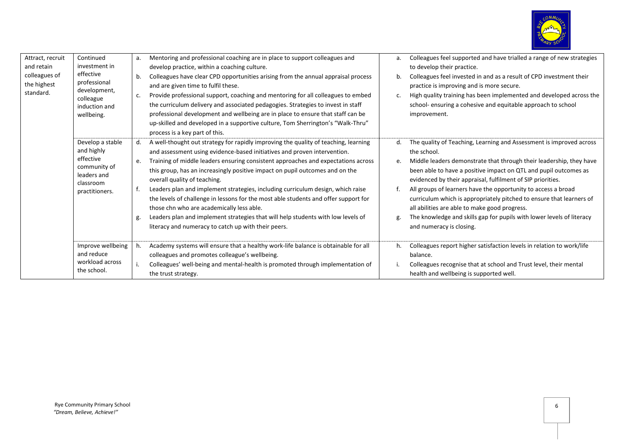

| Attract, recruit | Continued                 | а. | Mentoring and professional coaching are in place to support colleagues and          | a. | Colleagues feel supported and have trialled a range of new strategies |
|------------------|---------------------------|----|-------------------------------------------------------------------------------------|----|-----------------------------------------------------------------------|
| and retain       | investment in             |    | develop practice, within a coaching culture.                                        |    | to develop their practice.                                            |
| colleagues of    | effective                 | b. | Colleagues have clear CPD opportunities arising from the annual appraisal process   | b. | Colleagues feel invested in and as a result of CPD investment their   |
| the highest      | professional              |    | and are given time to fulfil these.                                                 |    | practice is improving and is more secure.                             |
| standard.        | development,<br>colleague | c. | Provide professional support, coaching and mentoring for all colleagues to embed    | c. | High quality training has been implemented and developed across the   |
|                  | induction and             |    | the curriculum delivery and associated pedagogies. Strategies to invest in staff    |    | school- ensuring a cohesive and equitable approach to school          |
|                  | wellbeing.                |    | professional development and wellbeing are in place to ensure that staff can be     |    | improvement.                                                          |
|                  |                           |    | up-skilled and developed in a supportive culture, Tom Sherrington's "Walk-Thru"     |    |                                                                       |
|                  |                           |    | process is a key part of this.                                                      |    |                                                                       |
|                  | Develop a stable          | d. | A well-thought out strategy for rapidly improving the quality of teaching, learning |    | The quality of Teaching, Learning and Assessment is improved across   |
|                  | and highly                |    | and assessment using evidence-based initiatives and proven intervention.            |    | the school.                                                           |
|                  | effective                 | e. | Training of middle leaders ensuring consistent approaches and expectations across   | e. | Middle leaders demonstrate that through their leadership, they have   |
|                  | community of              |    | this group, has an increasingly positive impact on pupil outcomes and on the        |    | been able to have a positive impact on QTL and pupil outcomes as      |
|                  | leaders and               |    | overall quality of teaching.                                                        |    | evidenced by their appraisal, fulfilment of SIP priorities.           |
|                  | classroom                 |    | Leaders plan and implement strategies, including curriculum design, which raise     |    | All groups of learners have the opportunity to access a broad         |
|                  | practitioners.            |    | the levels of challenge in lessons for the most able students and offer support for |    | curriculum which is appropriately pitched to ensure that learners of  |
|                  |                           |    | those chn who are academically less able.                                           |    | all abilities are able to make good progress.                         |
|                  |                           | g. | Leaders plan and implement strategies that will help students with low levels of    |    | The knowledge and skills gap for pupils with lower levels of literacy |
|                  |                           |    | literacy and numeracy to catch up with their peers.                                 |    | and numeracy is closing.                                              |
|                  |                           |    |                                                                                     |    |                                                                       |
|                  | Improve wellbeing         |    |                                                                                     |    |                                                                       |
|                  | and reduce                | h. | Academy systems will ensure that a healthy work-life balance is obtainable for all  | h. | Colleagues report higher satisfaction levels in relation to work/life |
|                  | workload across           |    | colleagues and promotes colleague's wellbeing.                                      |    | balance.                                                              |
|                  | the school.               |    | Colleagues' well-being and mental-health is promoted through implementation of      |    | Colleagues recognise that at school and Trust level, their mental     |
|                  |                           |    | the trust strategy.                                                                 |    | health and wellbeing is supported well.                               |